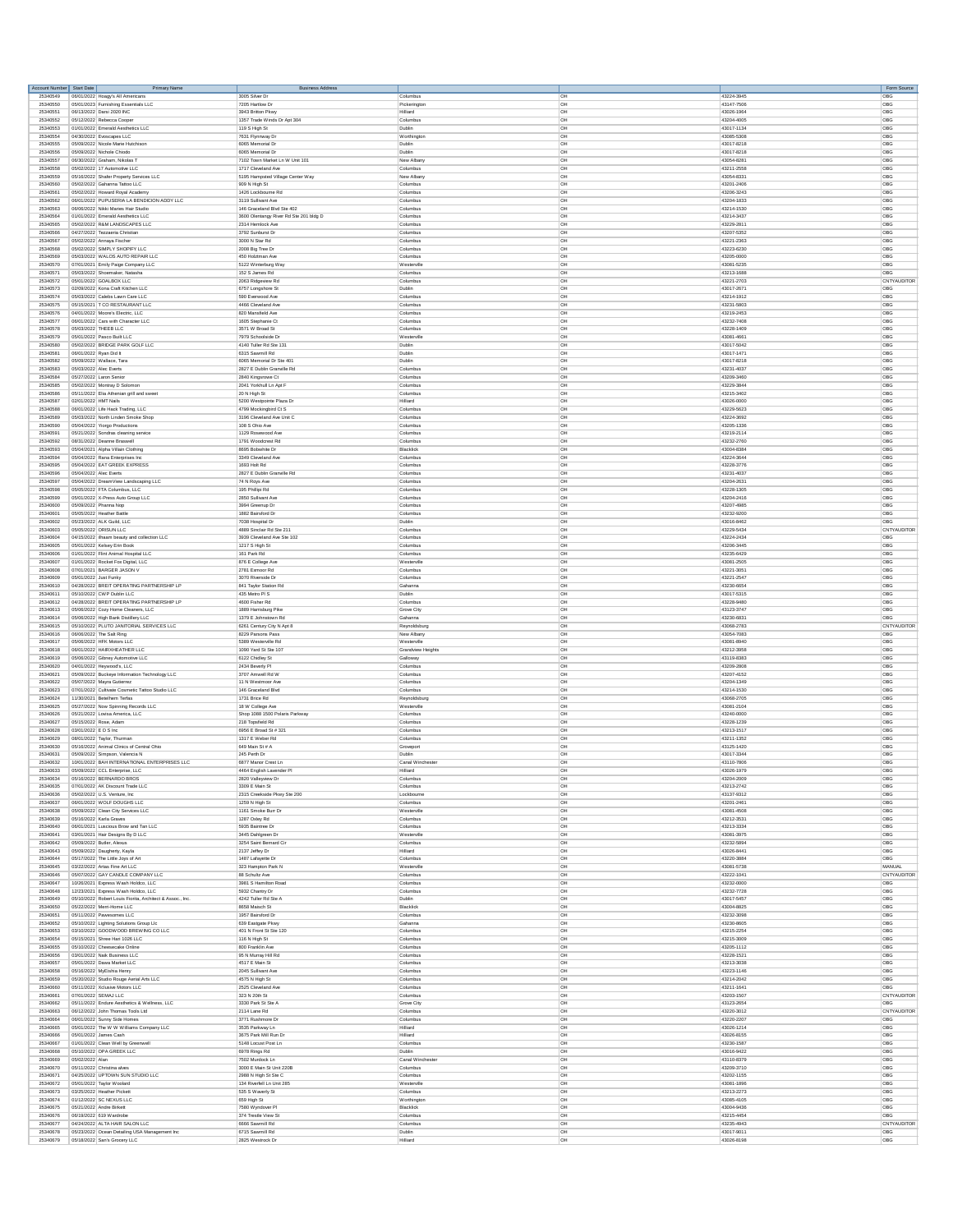| Account Number Start Date | Primary Name                                                                                     | <b>Business Address</b>                 |                     |                |                          | Form Source |
|---------------------------|--------------------------------------------------------------------------------------------------|-----------------------------------------|---------------------|----------------|--------------------------|-------------|
| 25340549                  | 06/01/2022 Hoagy's All Americans                                                                 | 3005 Silver Dr                          | Columbus            | OH             | 43224-3945               | OBG         |
| 25340550                  | 05/01/2023 Furnishing Essentials LLC                                                             | 7205 Hartlow Dr                         | Pickerington        | loH            | 43147-7506               | OBG         |
| 25340551                  | 06/13/2022 Darsi 2020 INC                                                                        | 3943 Britton Pkwy                       | Hilliard            | OH             | 43026-1964               | OBG         |
| 25340552                  | 05/12/2022 Rebecca Cooper                                                                        | 1357 Trade Winds Dr Apt 304             | Columbus            | <b>OH</b>      | 43204-4005               | OBG         |
| 25340553                  | 01/01/2022 Emerald Aesthetics LLC                                                                | 119 S High St                           | Dublin              | OH             | 43017-1134               | OBG         |
| 25340554                  | 04/30/2022 Evoscapes LLC                                                                         | 7631 Flynnway Dr                        | Worthington         | <b>OH</b>      | 43085-5308               | OBG         |
| 25340555                  | 05/09/2022 Nicole Marie Hutchison                                                                |                                         | Dublin              | OH             | 43017-8218               | OBG         |
| 25340556                  | 05/09/2022 Nichole Chiodo                                                                        | 6065 Memorial Dr<br>6065 Memorial Dr    | Dublin              | OH             | 43017-8218               | OBG         |
| 25340557                  | 06/30/2022 Graham, Nikolas T                                                                     | 7102 Town Market Ln W Unit 101          | New Alban           | loH            | 43054-8281               | OBG         |
| 25340558                  | 05/02/2022 17 Automotive LLC                                                                     | 1717 Cleveland Ave                      | Columbus            | OH             | 43211-2558               | OBG         |
| 25340559                  | 05/16/2022 Shafer Property Services LLC                                                          | 5195 Hampsted Village Center Way        | New Alban           | OH             | 43054-8331               | OBG         |
| 25340560                  | 05/02/2022 Gahanna Tattoo LLC                                                                    | 909 N High St                           | Columbus            | OH             | 43201-2406               | OBG         |
| 25340561                  | 05/02/2022 Howard Royal Academ                                                                   | 1426 Lockbourne Rd                      | Columbus            | <b>OH</b>      | 43206-3243               | OBG         |
| 25340562                  | 06/01/2022 PUPUSERIA LA BENDICION ADDY LLC                                                       | 3119 Sullivant Ave                      | Columbus            | OH             | 43204-1833               | OBG         |
| 25340563                  | 06/06/2022 Nikki Maries Hair Studio                                                              | 146 Graceland Blvd Ste 402              | Columbus            | <b>OH</b>      | 43214-1530               | OBG         |
| 25340564                  | 01/01/2022 Emerald Aesthetics LLC                                                                | 3600 Olentangy River Rd Ste 201 bldg D  | Columbus            | <b>OH</b>      | 43214-3437               | OBG         |
| 25340565                  | 05/02/2022 R&M LANDSCAPES LLC                                                                    | 2314 Hemlock Ave                        | Columbus            | OH             | 43229-2811               | OBG         |
| 25340566                  | 04/27/2022 Tezzaeria Christian                                                                   | 3792 Sunburst Dr                        | Columbus            | OH             | 43207-5352               | OBG         |
| 25340567                  | 05/02/2022 Annaya Fischer                                                                        | 3000 N Star Rd                          | Columbus            | OH             | 43221-2363               | OBG         |
| 25340568                  | 05/02/2022 SIMPLY SHOPIFY LLC                                                                    | 2008 Big Tree Dr                        | Columbus            | loH            | 43223-6230               | OBG         |
| 25340569                  | 05/03/2022 WALOS AUTO REPAIR LLC                                                                 |                                         | Columbus            | OH             | 43205-0000               | OBG         |
| 25340570                  | 07/01/2021 Emily Paige Company LLC                                                               | 450 Holztman Ave<br>5122 Winterburg Way | Westerville         | <b>OH</b>      | 43081-5235               | OBG         |
| 25340571                  | 05/03/2022 Shoemaker, Natasha                                                                    | 152 S James Rd                          | Columbus            | OH             | 43213-1688               | OBG         |
| 25340572                  | 05/01/2022 GOALBOX LLC                                                                           | 2063 Ridgeview Rd                       | Columbus            | <b>OH</b>      | 43221-2703               | CNTYAUDITOR |
| 25340573                  | 02/09/2022 Kona Craft Kitchen LLC                                                                | 6757 Longshore St                       | Dublin              | OH             | 43017-2671               | OBG         |
| 25340574                  | 05/03/2022 Calebs Lawn Care LLC                                                                  | 590 Everwood Ave                        | Columbus            | OH             | 43214-1912               | OBG         |
| 25340575                  | 05/15/2021 T CO RESTAURANT LLC                                                                   | 4466 Cleveland Ave                      | Columbus            | loH            | 43231-5803               | OBG         |
| 25340576                  | 04/01/2022 Moore's Electric, LLC                                                                 | 820 Mansfield Ave                       | Columbus            | OH             | 43219-2453               | OBG         |
| 25340577                  | 06/01/2022 Cars with Character LLC                                                               | 1605 Stephanie Ct                       | Columbus            | <b>OH</b>      | 43232-7408               | OBG         |
| 25340578                  | 05/03/2022 THEEB LLC                                                                             | 3571 W Broad St                         | Columbus            | OH             | 43228-1409               | OBG         |
| 25340579                  | 05/01/2022 Pasco Built LLC                                                                       | 7979 Schoolside Dr                      | Westerville         | <b>OH</b>      | 43081-4661               | OBG         |
| 25340580                  | 05/02/2022 BRIDGE PARK GOLF LLC                                                                  | 4140 Tuller Rd Ste 131                  | Dublin              | OH             | 43017-5042               | OBG         |
| 25340581                  | 06/01/2022 Ryan Did It                                                                           | 6315 Sawmill Rd                         | Dublin              | OH             | 43017-1471               | OBG         |
| 25340582                  | 05/09/2022 Wallace, Tara                                                                         | 6065 Memorial Dr Ste 401                | Dublin              | loH            | 43017-8218               | OBG         |
| 25340583                  | 05/03/2022 Alec Everts                                                                           | 2827 E Dublin Granville Rd              | Columbus            | OH             | 43231-4037               | OBG         |
| 25340584                  | 05/27/2022 Laron Senio                                                                           | 2840 Kingsrowe Ct                       | Columbus            | $\overline{C}$ | 43209-3460               | <b>ORG</b>  |
| 25340585                  | 05/02/2022 Montray D Solomor                                                                     | 2041 Yorkhull Ln Apt F                  | Columbus            | OH             | 43229-3844               | OBG         |
| 25340586                  | 05/11/2022 Elia Athenian grill and sweet                                                         | 20 N High St                            | Columbus            | <b>OH</b>      | 43215-3402               | OBG         |
| 25340587                  | 02/01/2022 HMT Nails                                                                             | 5200 Westpointe Plaza Dr                | Hilliard            | OH             | 43026-0000               | OBG         |
| 25340588                  | 06/01/2022 Life Hack Trading, LLC                                                                | 4799 Mockingbird Ct S                   | Columbus            | <b>OH</b>      | 43229-5623               | OBG         |
| 25340589                  | 05/03/2022 North Linden Smoke Shop                                                               | 3196 Cleveland Ave Unit C               | Columbus            | OH             | 43224-3692               | OBG         |
| 25340590                  | 05/04/2022 Yiorgo Productions                                                                    | 108 S Ohio Ave                          | Columbus            | <b>OH</b>      | 43205-1336               | OBG         |
| 25340591                  | 05/21/2022 Sondras cleaning service                                                              | 1129 Rosewood Ave                       | Columbus            | OH             | 43219-2114               | OBG         |
| 25340592                  | 08/31/2022 Deanne Braswell                                                                       | 1791 Woodcrest Rd                       | Columbus            | OH             | 43232-2760               | OBG         |
| 25340593                  | 05/04/2021 Alpha Villain Clothing                                                                | 8695 Bobwhite Dr                        | <b>Rlacklick</b>    | loH            | 43004-8384               | OBG         |
| 25340594                  | 05/04/2022 Rana Enterprises Inc                                                                  | 3349 Cleveland Ave                      | Columbus            | OH             | 43224-3644               | OBG         |
| 25340595                  | 05/04/2022 EAT GREEK EXPRESS                                                                     | 1693 Holt Rd                            | Columbus            | <b>OH</b>      | 43228-3776               | OBG         |
| 25340596                  | 05/04/2022 Alec Everts                                                                           | 2827 E Dublin Granville Rd              | Columbus            | OH             | 43231-4037               | OBG         |
| 25340597                  | 05/04/2022 DreamView Landscaping LLC                                                             | 74 N Roys Ave                           | Columbus            | <b>OH</b>      | 43204-2631               | OBG         |
| 25340598                  | 05/05/2022 FTA Columbus, LLC                                                                     | 195 Phillipi Rd                         | Columbus            | OH             | 43228-1305               | OBG         |
| 25340599                  | 05/01/2022 X-Press Auto Group LLC                                                                | 2850 Sullivant Ave                      | Columbus            | OH             | 43204-2416               | OBG         |
| 25340600                  | 05/09/2022 Phanna Nop                                                                            | 3994 Greenup Dr                         | Columbus            | <b>OH</b>      | 43207-4985               | OBG         |
| 25340601                  | 05/05/2022 Heather Battle                                                                        | 1882 Bairsford Dr                       | Columbus            | OH             | 43232-9200               | OBG         |
| 25340602                  | 05/23/2022 ALK Guild, LLC                                                                        | 7038 Hospital Dr                        | Dublin              | <b>OH</b>      | 43016-8462               | OBG         |
| 25340603                  | 05/05/2022 ORISUN LLC                                                                            | 4889 Sinclair Rd Ste 21                 | Columbus            | OH             | 43229-5434               | CNTYAUDITOR |
| 25340604                  | 04/15/2022 ilhaam beauty and collection LLC                                                      | 3939 Cleveland Ave Ste 102              | Columbus            | <b>OH</b>      | 43224-2434               | OBG         |
| 25340605                  | 05/01/2022 Kelsey Erin Book                                                                      | 1217 S High St                          | Columbus            | OH             | 43206-3445               | OBG         |
| 25340606                  | 01/01/2022 Flint Animal Hospital LLC                                                             | 161 Park Rd                             | Columbus            | <b>OH</b>      | 43235-6429               | OBG         |
| 25340607                  | 01/01/2022 Rocket Fox Digital, LLC                                                               | 876 E College Ave                       | Westervill          | <b>OH</b>      | 43081-2505               | OBG         |
| 25340608                  | 07/01/2021 BARGER JASON V                                                                        | 2781 Exmoor Rd                          | Columbus            | OH             | 43221-3051               | OBG         |
| 25340609                  | 05/01/2022 Just Funky                                                                            | 3070 Riverside Dr                       | Columbus            | OH             | 43221-2547               | OBG         |
| 25340610                  | 04/28/2022 BREIT OPERATING PARTNERSHIP LP                                                        | 841 Taylor Station Rd                   | Gahanna             | OH             | 43230-6654               | OBG         |
| 25340611                  | 05/10/2022 CWP Dublin LLC                                                                        | 435 Metro PI S                          | Dublin              | <b>OH</b>      | 43017-5315               | OBG         |
| 25340612                  | 04/28/2022 BREIT OPERATING PARTNERSHIP LP                                                        | 4600 Fisher Rd                          | Columbus            | OH             | 43228-9480               | OBG         |
| 25340613                  | 05/06/2022 Cozy Home Cleaners, LLC                                                               | 1889 Harrisburg Pike                    | Grove City          | <b>OH</b>      | 43123-3747               | OBG         |
| 25340614                  | 05/06/2022 High Bank Distillery LLC                                                              | 1379 E Johnstown Ro                     | Gahanna             | OH             | 43230-6831               | OBG         |
| 25340615                  | 05/10/2022 PLUTO JANITORIAL SERVICES LLC                                                         | 6261 Century City N Apt 8               | Reynoldsburg        | OH             | 43068-2783               | CNTYAUDITOR |
| 25340616                  | 06/06/2022 The Salt Ring                                                                         | 8229 Parsons Pass                       | New Albany          | OH             | 43054-7083               | OBG         |
| 25340617                  | 05/06/2022 HFK Motors LLC                                                                        | 5389 Westerville Rd                     | Westerville         | OH             | 43081-8940               | OBG         |
| 25340618                  | 06/01/2022 HAIRXHEATHER LLC                                                                      | 1090 Yard St Ste 107                    | Grandview Heights   | <b>OH</b>      | 43212-3958               | OBG         |
| 25340619                  | 05/06/2022 Gibney Automotive LLC                                                                 | 6122 Chidley St                         | Galloway            | OH             | 43119-8383               | OBG         |
| 25340620                  | 04/01/2022 Heywood's, LLC                                                                        | 2434 Beverly PI                         | Columbus            | <b>OH</b>      | 43209-2808               | OBG         |
| 25340621                  | 05/09/2022 Buckeye Information Technology LLC                                                    | 3707 Amwell Rd V                        | Columbus            | OH             | 43207-4152               | OBG         |
| 25340622                  | 05/07/2022 Mayra Gutierrez                                                                       | 11 N Westmoor Ave                       | Columbus            | <b>OH</b>      | 43204-1349               | OBG         |
| 25340623                  | 07/01/2022 Cultivate Cosmetic Tattoo Studio LLC                                                  | 146 Graceland Blvd                      | Columbus            | OH             | 43214-1530               | OBG         |
| 25340624                  | 11/30/2021 Betelhem Terfas                                                                       | 1731 Brice Rd                           | Reynoldsburg        | OH             | 43068-2705               | OBG         |
| 25340625                  | 05/27/2022 Now Spinning Records LLC                                                              | 18 W College Ave                        | Westervill          | <b>OH</b>      | 43081-2104               | OBG         |
| 25340626                  | 05/21/2022 Lovisa America, LLC                                                                   | Shop 1088 1500 Polaris Parkway          | Columbus            | OH             | 43240-0000               | OBG         |
| 25340627                  | 05/15/2022 Rose, Adam                                                                            | 218 Tonsfield Rd                        | Columbus            | <b>OH</b>      | 43228-1239               | <b>OBG</b>  |
| 25340628                  | 03/01/2022 E D S Inc                                                                             | 6956 E Broad St # 321                   | Columbus            | OH             | 43213-1517               | OBG         |
| 25340629                  | 08/01/2022 Taylor, Thurman                                                                       | 1317 E Weber Rd                         | Columbus            | <b>OH</b>      | 43211-1352               | OBG         |
| 25340630                  | 05/16/2022 Animal Clinics of Central Ohio                                                        | 649 Main St # A                         | Groveport           | OH             | 43125-1420               | OBG         |
| 25340631                  | 05/09/2022 Simnson Valencia N                                                                    | 245 Perth Dr                            | Dublin              | <b>OH</b>      | 43017-3344               | OBG         |
| 25340632                  | 10/01/2022 BAH INTERNATIONAL ENTERPRISES LLC                                                     | 6877 Manor Crest Ln                     | Canal Winchest      | <b>OH</b>      | 43110-7806               | OBG         |
| 25340633<br>25340634      | 05/09/2022 CCL Enterprise, LLC                                                                   | 4464 English Lavender PI                | Hilliard<br>Columbu | OH<br>OH       | 43026-1979               | OBG         |
| 25340635                  | 05/16/2022 BERNARDO BROS<br>07/01/2022 AK Discount Trade LLC                                     | 2820 Valleyview Dr<br>3309 E Main St    | Columbus            | OH             | 43204-2009<br>43213-2742 | OBG<br>OBG  |
| 25340636                  | 05/02/2022 U.S. Venture, Inc.                                                                    | 2315 Creekside Pkwy Ste 200             | Lockbourne          | <b>OH</b>      | 43137-9312               | OBG         |
| 25340637                  | 06/01/2022 WOLF DOUGHS LLC                                                                       | 1259 N High St                          | Columbus            | OH             | 43201-2461               | OBG         |
| 25340638                  | 05/09/2022 Clean City Services LLC                                                               | 1161 Smoke Burr Dr                      | Westerville         | <b>OH</b>      | 43081-4508               | OBG         |
| 25340639                  | 05/16/2022 Karla Graves                                                                          | 1287 Oxley Rd                           | Columbus            | OH             | 43212-3531               | OBG         |
| 25340640                  | 06/01/2021 Luscious Brow and Tan LLC                                                             | 5935 Baintree D                         | Columbus            | OH             | 43213-3334               | OBG         |
| 25340641                  | 03/01/2021 Hair Designs By D LLC                                                                 | 3445 Dahlgreen Dr                       | Westervill          | OH             | 43081-3975               | OBG         |
| 25340642                  | 05/09/2022 Butler, Alexus                                                                        | 3254 Saint Bernard Cir                  | Columbus            | OH             | 43232-5894               | OBG         |
| 25340643                  | 05/09/2022 Daugherty, Kayla                                                                      | 2137 Jeffey Dr                          | Hilliard            | loH            | 43026-8441               | OBG         |
| 25340644                  | 05/17/2022 The Little Joys of Art                                                                | 1487 Lafayette D                        | Columbus            | OH             | 43220-3884               | OBG         |
| 25340645                  | 03/22/2022 Artas Fine Art LLC                                                                    | 323 Hampton Park N                      | Westerville         | <b>OH</b>      | 43081-5738               | MANUAL      |
| 25340646                  | 05/07/2022 GAY CANDLE COMPANY LLC                                                                | 88 Schultz Ave                          | Columbus            | OH             | 43222-1041               | CNTYAUDITOR |
| 25340647                  | 10/26/2021 Express Wash Holdco, LLC                                                              | 3981 S Hamilton Road                    | Columbus            | <b>OH</b>      | 43232-0000               | OBG         |
| 25340648                  |                                                                                                  | 5932 Chantry Dr                         | Columbus            | OH             | 43232-7728               | OBG         |
| 25340649                  | 12/23/2021 Express Wash Holdco, LLC<br>05/10/2022 Robert Louis Fiorita, Architect & Assoc., Inc. | 4242 Tuller Rd Ste A                    | Dublin              | OH             | 43017-5457               | OBG         |
| 25340650                  | 05/22/2022 Merri-Home LLC                                                                        | 8658 Maisch St                          | Blacklick           | <b>OH</b>      | 43004-8825               | OBG         |
| 25340651                  | 05/11/2022 Pawesomes LLC                                                                         | 1957 Bairsford Dr                       | Columbus            | OH             | 43232-3098               | OBG         |
| 25340652                  | 05/10/2022 Lighting Solutions Group Llc                                                          | 639 Eastgate Pkwy                       | Gahanna             | OH             | 43230-8605               | OBG         |
| 25340653                  | 03/10/2022 GOODWOOD BREWING CO LLC                                                               | 401 N Front St Ste 120                  | Columbus            | OH             | 43215-2254               | OBG         |
| 25340654                  | 05/15/2021 Shree Hari 1026 LLC                                                                   | 116 N High St                           | Columbus            | <b>OH</b>      | 43215-3009               | OBG         |
| 25340655                  | 05/10/2022 Cheesecake Online                                                                     | 800 Franklin Ave                        | Columbus            | OH             | 43205-1112               | OBG         |
| 25340656                  | 03/01/2022 Naik Business LLC                                                                     | 95 N Murray Hill Rd                     | Columbus            | <b>OH</b>      | 43228-1521               | OBG         |
| 25340657                  | 05/01/2022 Dawa Market LLC                                                                       | 4517 E Main St                          | Columbus            | <b>OH</b>      | 43213-3038               | OBG         |
| 25340658                  | 05/16/2022 MyEishia Henry                                                                        | 2045 Sullivant Ave                      | Columbus            | OH             | 43223-1146               | OBG         |
| 25340659                  | 05/20/2022 Studio Rouge Aerial Arts LLC                                                          | 4575 N High St                          | Columbus            | OH             | 43214-2042               | OBG         |
| 25340660                  | 05/11/2022 Xclusive Motors LLC                                                                   | 2525 Cleveland Ave                      | Columbus            | OH             | 43211-1641               | OBG         |
| 25340661                  | 07/01/2022 SEMAJ LLC                                                                             | 323 N 20th St                           | Columbus            | <b>OH</b>      | 43203-1507               | CNTYAUDITOR |
| 25340662                  | 05/11/2022 Endure Aesthetics & Wellness, LLC                                                     | 3330 Park St Ste A                      | Grove City          | OH             | 43123-2654               | OBG         |
| 25340663                  | 06/12/2022 John Thomas Tools Ltd                                                                 | 2114 Lane Rd                            | Columbus            | <b>OH</b>      | 43220-3012               | CNTYAUDITOR |
| 25340664                  | 06/01/2022 Sunny Side Homes                                                                      | 3771 Rushmore D                         | Columbus            | OH             | 43220-2207               | OBG         |
| 25340665                  | 05/01/2022 The W W Williams Company LLC                                                          | 3535 Parkway Ln                         | Hilliard            | OH             | 43026-1214               | OBG         |
| 25340666                  | 05/01/2022 James Cash                                                                            | 3675 Park Mill Run Dr                   | Hilliard            | OH             | 43026-8155               | OBG         |
| 25340667                  | 01/01/2022 Clean Well by Greenwell                                                               | 5148 Locust Post Ln                     | Columbus            | OH             | 43230-1587               | OBG         |
| 25340668                  | 05/10/2022 OPA GREEK LLC                                                                         | 6978 Rings Rd                           | Dublin              | <b>OH</b>      | 43016-9422               | OBG         |
| 25340669                  | 05/02/2022 Alan                                                                                  | 7502 Murdock Ln                         | Canal Winchester    | OH             | 43110-8379               | OBG         |
| 25340670                  | 05/11/2022 Christina alves                                                                       | 3000 E Main St Unit 220B                | Columbus            | <b>OH</b>      | 43209-3710               | OBG         |
| 25340671                  | 04/25/2022 UPTOWN SUN STUDIO LLC                                                                 | 2988 N High St Ste C                    | Columbus            | OH             | 43202-1155               | OBG         |
| 25340672                  | 05/01/2022 Taylor Woolard                                                                        | 134 Riverfell Ln Unit 285               | Westerville         | <b>OH</b>      | 43081-1896               | OBG         |
| 25340673                  | 03/25/2022 Heather Pickett                                                                       | 535 S Waverly St                        | Columbus            | OH             | 43213-2273               | OBG         |
| 25340674                  | 01/12/2022 SC NEXUS LLC                                                                          | 659 High St                             | Worthington         | OH             | 43085-4105               | OBG         |
| 25340675                  | 05/21/2022 Andre Birkett                                                                         | 7580 Wyndover P                         | Blacklick           | loH            | 43004-9436               | OBG         |
| 25340676                  | 06/19/2022 619 Wardrobe                                                                          | 374 Trestle View St                     | Columbus            | <b>OH</b>      | 43215-4454               | OBG         |
| 25340677                  | 04/24/2022 ALTA HAIR SALON LLC                                                                   | 6666 Sawmill Rd                         | Columbus            | loH            | 43235-4943               | CNTYAUDITOR |
| 25340678                  | 05/23/2022 Ocean Detailing USA Management Inc                                                    | 6715 Sawmill Rd                         | Dublin              | OH             | 43017-9011               | OBG         |
| 25340679                  | 05/18/2022 San's Grocery LLC                                                                     | 2825 Westrock Dr                        | Hilliard            | <b>OH</b>      | 43026-8198               | OBG         |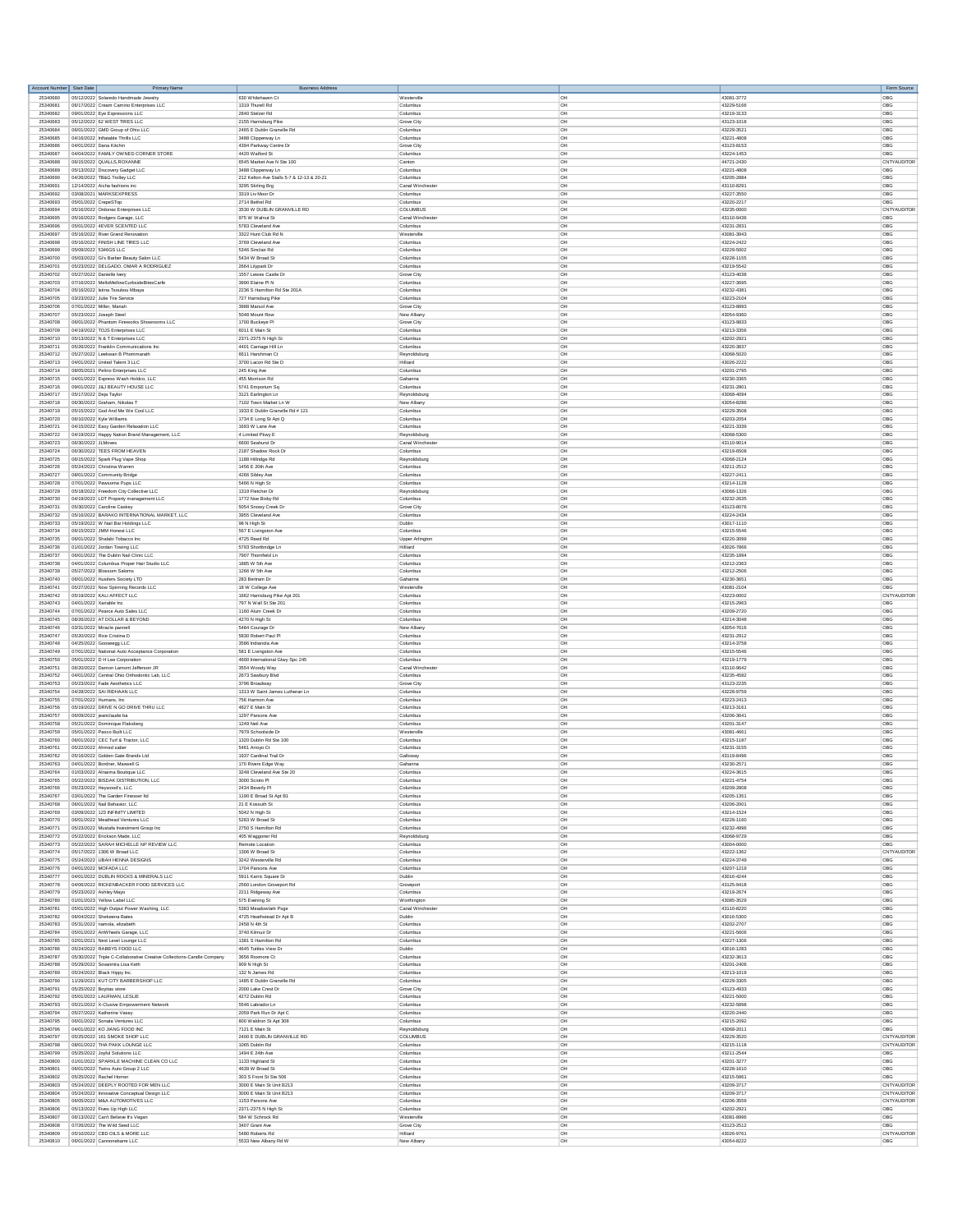| Account Number Start Date |                          | Primary Name                                                                                            | <b>Business Address</b>                                         |                                 |                      |                          | Form Source        |
|---------------------------|--------------------------|---------------------------------------------------------------------------------------------------------|-----------------------------------------------------------------|---------------------------------|----------------------|--------------------------|--------------------|
| 25340680                  |                          | 05/12/2022 Solaredo Handmade Jewelry                                                                    | 630 Whilehaven Ct                                               | Westerville                     | OH                   | 43081-3772               | OBG                |
| 2534068                   |                          | 06/17/2022 Cream Camino Enterprises LLC                                                                 | 1319 Thurell Rd                                                 | Columbus                        | OH                   | 43229-5166               | OBG                |
| 25340682                  |                          | 09/01/2022 Eye Expressions LLC                                                                          | 2840 Stelzer Rd                                                 | Columbus                        | <b>OH</b>            | 43219-3133               | OBG                |
| 25340683<br>25340684      |                          | 05/12/2022 62 WEST TIRES LLC<br>06/01/2022 GMD Group of Ohio LLC                                        | 2155 Harrisburg Pike<br>2465 E Dublin Granville Rd              | Grove City<br>Columbus          | OH<br><b>OH</b>      | 43123-1018<br>43229-3521 | OBG<br>OBG         |
| 25340685                  |                          | 04/16/2022 Inflatable Thrills LLC                                                                       | 3488 Clipperway Ln                                              | Columbus                        | <b>OH</b>            | 43221-4808               | OBG                |
| 25340686                  |                          | 04/01/2022 Dana Kitchin                                                                                 | 4394 Parkway Centre Dr                                          | Grove City                      | OH                   | 43123-8153               | OBG                |
| 25340687                  |                          | 04/04/2022 FAMILY OWNED CORNER STORE                                                                    | 4420 Walford St                                                 | Columbus                        | loH                  | 43224-1453               | <b>ORG</b>         |
| 25340688                  |                          | 06/15/2022 QUALLS, ROXANNE                                                                              | 6545 Market Ave N Ste 100                                       | Canton                          | OH                   | 44721-2430               | CNTYAUDITOR        |
| 25340689<br>25340690      |                          | 05/13/2022 Discovery Gadget LLC<br>04/26/2022 TB&G Trolley LLC                                          | 3488 Clipperway Ln<br>212 Kelton Ave Stalls 5-7 & 12-13 & 20-21 | Columbus<br>Columbus            | <b>OH</b><br>OH      | 43221-4808<br>43205-2884 | OBG<br>OBG         |
| 25340691                  |                          | 12/14/2022 Aicha fashions inc                                                                           | 3295 Stirling Brg                                               | Canal Winchester                | <b>OH</b>            | 43110-8291               | OBG                |
| 25340692                  |                          | 03/08/2021 MARKSEXPRESS                                                                                 | 3319 Liv Moor D                                                 | Columbus                        | OH                   | 43227-3550               | OBG                |
| 25340693                  | 05/01/2022 CrepeSTop     |                                                                                                         | 2714 Bethel Rd                                                  | Columbus                        | OH                   | 43220-2217               | OBG                |
| 25340694                  |                          | 05/16/2022 Ordonez Enterprises LLC                                                                      | 3530 W DUBLIN GRANVILLE RD                                      | COLUMBUS                        | OH                   | 43235-0000               | CNTYAUDITOR        |
| 25340695                  |                          | 05/16/2022 Rodgers Garage, LLC                                                                          | 975 W Walnut St                                                 | Canal Winchester                | OH                   | 43110-9436               | OBG                |
| 25340696                  |                          | 05/01/2022 4EVER SCENTED LLC                                                                            | 5783 Cleveland Ave                                              | Columbus                        | <b>OH</b>            | 43231-2831               | OBG                |
| 25340697<br>25340698      |                          | 05/16/2022 River Grand Renovation<br>05/16/2022 FINISH LINE TIRES LLC                                   | 3322 Hunt Club Rd N<br>3769 Cleveland Ave                       | Westerville<br>Columbus         | OH<br><b>OH</b>      | 43081-3943<br>43224-2422 | OBG<br>OBG         |
| 25340699                  |                          | 05/09/2022 5346GS LLC                                                                                   | 5346 Sinclair Ro                                                | Columbus                        | OH                   | 43229-5002               | OBG                |
| 25340700                  |                          | 05/03/2022 Gi's Barber Beauty Salon LLC                                                                 | 5434 W Rmad St                                                  | Columbus                        | <b>OH</b>            | 43228-1155               | OBG                |
| 25340701                  |                          | 05/23/2022 DELGADO, OMAR A RODRIGUEZ                                                                    | 2664 Lilypark Dr                                                | Columbus                        | OH                   | 43219-5542               | OBG                |
| 25340702                  |                          | 05/27/2022 Danielle lvery                                                                               | 1557 Lewes Castle Dr                                            | Grove City                      | OH                   | 43123-4038               | OBG                |
| 25340703                  |                          | 07/16/2022 MelloMellowCurbsideBitesCarfe                                                                | 3990 Elaine PI N                                                | Columbus                        | <b>OH</b>            | 43227-3695               | OBG                |
| 25340704<br>25340705      |                          | 05/16/2022 Istina Tsoukou Mbaya<br>03/23/2022 Julie Tire Service                                        | 2236 S Hamilton Rd Ste 201A<br>727 Harrisburg Pike              | Columbus<br>Columbus            | OH<br>OH             | 43232-4381<br>43223-2104 | OBG<br>OBG         |
| 25340706                  |                          | 07/01/2022 Miller, Mariah                                                                               | 3988 Marsol Ave                                                 | Grove City                      | OH                   | 43123-8893               | OBG                |
| 25340707                  |                          | 05/23/2022 Joseph Steel                                                                                 | 5048 Mount Row                                                  | New Alban                       | <b>OH</b>            | 43054-9360               | OBG                |
| 25340708                  |                          | 06/01/2022 Phantom Fireworks Showrooms LLC                                                              | 1700 Buckeye PI                                                 | Grove City                      | OH                   | 43123-9833               | OBG                |
| 25340709                  |                          | 04/19/2022 TOJS Enterprises LLC                                                                         | 6011 E Main St                                                  | Columbus                        | <b>OH</b>            | 43213-3356               | OBG                |
| 25340710                  |                          | 05/13/2022 N & T Enterprises LLC                                                                        | 2371-2375 N High St                                             | Columbus                        | <b>I</b> OH          | 43202-2921               | <b>OBG</b>         |
| 25340711<br>25340712      |                          | 05/26/2022 Franklin Communications Inc<br>05/27/2022 Leekwan B Phommarath                               | 4401 Carriage Hill Ln<br>6611 Harshman Ct                       | Columbus<br>Reynoldsburg        | OH<br>OH             | 43220-3837<br>43068-5020 | OBG<br>OBG         |
| 25340713                  |                          | 04/01/2022 United Talent 3 LLC                                                                          | 3700 Lacon Rd Ste D                                             | Hilliard                        | OH                   | 43026-2222               | OBG                |
| 25340714                  |                          | 08/05/2021 Pelino Enterprises LLC                                                                       | 245 King Ave                                                    | Columbu                         | loH                  | 43201-2795               | OBG                |
| 25340715                  |                          | 04/01/2022 Express Wash Holdco, LLC                                                                     | 455 Morrison Rd                                                 | Gahanna                         | OH                   | 43230-3365               | OBG                |
| 25340716                  |                          | 09/01/2022 J.B.I REALITY HOUSE LLC                                                                      | 5741 Emporium Sq                                                | Columbus                        | <b>OH</b>            | 43231-2801               | OBG                |
| 25340717                  | 05/17/2022 Deja Taylor   |                                                                                                         | 3121 Earlington Ln                                              | Reynoldsburg                    | OH                   | 43068-4094               | OBG                |
| 25340718<br>25340719      |                          | 08/30/2022 Graham Nikolas T<br>05/15/2022 God And Me We Cool LLC                                        | 7102 Town Market Ln W<br>1933 E Dublin Granville Rd # 121       | New Albam<br>Columbus           | loH<br>OH            | 43054-8286<br>43229-3508 | OBG<br>OBG         |
| 25340720                  |                          | 06/10/2022 Kyle Williams                                                                                | 1734 E Long St Apt Q                                            | Columbus                        | OH                   | 43203-2054               | OBG                |
| 25340721                  |                          | 04/15/2022 Easy Garden Relaxation LLC                                                                   | 1693 W Lane Av                                                  | Columbus                        | <b>OH</b>            | 43221-3339               | OBG                |
| 25340722                  |                          | 04/19/2022 Happy Nation Brand Management, LLC                                                           | 4 Limited Pkwy E                                                | Reynoldsburg                    | OH                   | 43068-5300               | OBG                |
| 25340723                  | 06/30/2022 JLMoves       |                                                                                                         | 6600 Seahurst Dr                                                | Canal Winchester                | <b>OH</b>            | 43110-9014               | OBG                |
| 25340724                  |                          | 06/30/2022 TEES FROM HEAVEN                                                                             | 2187 Shadow Rock Dr                                             | Columbus                        | OH                   | 43219-6508               | OBG                |
| 25340725                  |                          | 06/15/2022 Spark Plug Vape Shop                                                                         | 1188 Hillridge Rd                                               | Reynoldsburg                    | <b>OH</b>            | 43068-2124               | OBG                |
| 25340726<br>25340727      |                          | 05/24/2022 Christina Warren<br>08/01/2022 Community Bridge                                              | 1456 E 20th Ave<br>4266 Sibley Ave                              | Columbus<br>Columbus            | OH<br>OH             | 43211-2512<br>43227-2411 | OBG<br>OBG         |
| 25340728                  |                          | 07/01/2022 Pawsome Pups LLC                                                                             | 5466 N High St                                                  | Columbus                        | <b>OH</b>            | 43214-1128               | OBG                |
| 25340729                  |                          | 05/18/2022 Freedom City Collective LLC                                                                  | 1319 Fletcher D                                                 | Reynoldsburg                    | OH                   | 43068-1326               | OBG                |
| 25340730                  |                          | 04/19/2022 LDT Property management LLC                                                                  | 1772 Noe Bixby Rd                                               | Columbus                        | <b>OH</b>            | 43232-2635               | OBG                |
| 25340731                  |                          | 05/30/2022 Caroline Caskey                                                                              | 5054 Snowy Creek Dr                                             | Grove City                      | OH                   | 43123-8076               | OBG                |
| 25340732<br>25340733      |                          | 05/16/2022 BARAKO INTERNATIONAL MARKET, LLC<br>05/19/2022 W Nail Bar Holdings LLC                       | 3955 Cleveland Ave                                              | Columbus<br>Dublin              | <b>OH</b><br>OH      | 43224-2434<br>43017-1110 | OBG<br>OBG         |
| 25340734                  |                          | 08/15/2022 JMM Honest LLC                                                                               | 98 N High St<br>567 E Livingston Ave                            | Columbus                        | <b>OH</b>            | 43215-5546               | OBG                |
| 25340735                  |                          | 06/01/2022 Shalabi Tobacco In                                                                           | 4725 Reed Rd                                                    | Upper Arlington                 | OH                   | 43220-3099               | OBG                |
| 25340736                  |                          | 01/01/2022 Jordan Towing LLC                                                                            | 5793 Shortbridge Lr                                             | Hilliard                        | OH                   | 43026-7866               | OBG                |
| 25340737                  |                          | 06/01/2022 The Dublin Nail Clinic LLC                                                                   | 7907 Thornfield Ln                                              | Columbus                        | OH                   | 43235-1894               | OBG                |
| 25340738                  |                          | 04/01/2022 Columbus Proper Hair Studio LLC                                                              | 1885 W 5th Ave                                                  | Columbus                        | OH                   | 43212-2363               | OBG                |
| 25340739<br>25340740      |                          | 05/27/2022 Blossom Saloms                                                                               | 1266 W 5th Ave<br>283 Bertram Dr                                | Columbus<br>Gahanna             | loH<br>OH            | 43212-2506<br>43230-365  | OBG<br>OBG         |
| 25340741                  |                          | 06/01/2022 Hustlers Society LTD<br>05/27/2022 Now Spinning Records LLC                                  | 18 W College Ave                                                | Westerville                     | <b>OH</b>            | 43081-2104               | OBG                |
| 25340742                  |                          | 05/19/2022 KALI AFFECT LLC                                                                              | 1662 Harrisburg Pike Apt 201                                    | Columbus                        | OH                   | 43223-0002               | CNTYAUDITOR        |
| 25340743                  | 04/01/2022 Xariable Inc. |                                                                                                         | 797 N Wall St Ste 201                                           | Columbus                        | <b>OH</b>            | 43215-2963               | OBG                |
| 25340744                  |                          | 07/01/2022 Pearce Auto Sales LLC                                                                        | 1160 Alum Creek Dr                                              | Columbus                        | OH                   | 43209-2720               | OBG                |
| 25340745                  |                          | 08/26/2022 AT DOLLAR & BEYOND                                                                           | 4270 N High St                                                  | Columbus                        | OH                   | 43214-3048               | OBG                |
| 25340746                  |                          | 03/31/2022 Miracle pannell                                                                              | 5484 Courage Dr                                                 | New Alban                       | <b>OH</b>            | 43054-7616               | OBG                |
| 25340747<br>25340748      |                          | 05/20/2022 Rice Cristina D<br>04/25/2022 Gooseegg LLC                                                   | 5830 Robert Paul P<br>3586 Indianola Ave                        | Columbus<br>Columbus            | OH<br><b>OH</b>      | 43231-2912<br>43214-3758 | OBG<br>OBG         |
| 25340749                  |                          | 07/01/2022 National Auto Acceptance Corporation                                                         | 581 E Livingston Ave                                            | Columbus                        | OH                   | 43215-5546               | OBG                |
| 25340750                  |                          | 05/01/2022 D H Lee Corporation                                                                          | 4600 International Gtwy Spc 245                                 | Columbus                        | <b>OH</b>            | 43219-1779               | OBG                |
| 25340751                  |                          | 06/20/2022 Damon Lamont Jefferson JR                                                                    | 3554 Woody Way                                                  | Canal Wincheste                 | OH                   | 43110-9642               | OBG                |
| 25340752                  |                          | 04/01/2022 Central Ohio Orthodontic Lab, LLC                                                            | 2673 Sawbury Blvd                                               | Columbus                        | OH                   | 43235-4582               | OBG                |
| 25340753                  |                          | 05/23/2022 Fade Aesthetics LLC<br>04/28/2022 SAI RIDHAAN LLC                                            | 3796 Broadway                                                   | Grove City                      | <b>OH</b>            | 43123-2235               | OBG                |
| 25340754<br>25340755      |                          | 07/01/2022 Humans, Inc.                                                                                 | 1313 W Saint James Lutheran Ln<br>756 Harmon Ave                | Columbus<br>Columbus            | OH<br><b>OH</b>      | 43228-9759<br>43223-2413 | OBG<br>OBG         |
| 25340756                  |                          | 05/19/2022 DRIVE N GO DRIVE THRU LLC                                                                    | 4827 E Main St                                                  | Columbus                        | OH                   | 43213-3161               | OBG                |
| 25340757                  |                          | 06/09/2022 ieanclaude ba                                                                                | 1297 Parsons Aw                                                 | Columbus                        | <b>OH</b>            | 43206-3641               | OBG                |
| 25340758                  |                          | 05/21/2022 Dominique Flaksberg                                                                          | 1249 Neil Ave                                                   | Columbus                        | OH                   | 43201-3147               | OBG                |
| 25340759                  |                          | 05/01/2022 Pasco Built LLC                                                                              | 7979 Schoolside Dr                                              | Westerville                     | <b>OH</b>            | 43081-4661               | OBG                |
| 25340760                  |                          | 06/01/2022 CEC Turf & Tractor, LLC<br>05/22/2022 Ahmed saber                                            | 1320 Dublin Rd Ste 100                                          | Columbus                        | OH<br>OH             | 43215-1187<br>43231-3155 | OBG<br>OBG         |
| 25340761<br>25340762      |                          | 05/16/2022 Golden Gate Brands Ltd                                                                       | 5461 Arroyo Ct<br>1937 Cardinal Trail Dr                        | Columbus<br>Gallowa             | OH                   | 43119-8496               | ORG                |
| 25340763                  |                          | 04/01/2022 Bordner, Maxwell G                                                                           | 170 Rivers Edge Way                                             | Gahanna                         | OH                   | 43230-2571               | OBG                |
| 25340764                  |                          | 01/03/2022 Alnaima Boutique LLC                                                                         | 3248 Cleveland Ave Ste 20                                       | Columbu                         | OH                   | 43224-3615               | OBG                |
| 25340765                  |                          | 05/22/2022 BISDAK DISTRIBUTION.                                                                         | 3000 Scioto Pl                                                  | Columbu                         | OΗ                   | 43221-4754               | OBG                |
| 25340766                  |                          | 05/23/2022 Heywood's, LLC                                                                               | 2434 Beverly PI                                                 | Columbus                        | <b>OH</b>            | 43209-2808               | OBG                |
| 25340767<br>25340768      |                          | 03/01/2022 The Garden Finesser Itd<br>06/01/2022 Nail Behavior, LLC                                     | 1190 E Broad St Apt B1<br>21 E Kossuth St                       | Columbus<br>Columbus            | OH<br><b>OH</b>      | 43205-1351<br>43206-2001 | OBG<br>OBG         |
| 25340769                  |                          | 03/09/2022 123 INFINITY LIMITED                                                                         | 5042 N High St                                                  | Columbus                        | OH                   | 43214-1524               | OBG                |
| 25340770                  |                          | 06/01/2022 Meathead Ventures LLC                                                                        | 5283 W Broad St                                                 | Columbus                        | OH                   | 43228-1160               | OBG                |
| 25340771                  |                          | 05/23/2022 Mustafa Investment Group Inc                                                                 | 2750 S Hamilton Rd                                              | Columbus                        | <b>OH</b>            | 43232-4996               | OBG                |
| 25340772                  |                          | 05/22/2022 Erickson Made, LLC                                                                           | 405 Waggoner Rd                                                 | Reynoldsburg                    | <b>OH</b>            | 43068-9729               | OBG                |
| 25340773<br>25340774      |                          | 05/22/2022 SARAH MICHELLE NP REVIEW LLC<br>05/17/2022 1306 W Broad LLC                                  | Remote Location<br>1306 W Broad St                              | Columbus<br>Columbus            | OH<br>OH             | 43004-0000<br>43222-1362 | OBG<br>CNTYAUDITOR |
| 25340775                  |                          | 05/24/2022 UBAH HENNA DESIGNS                                                                           | 3242 Westerville Rd                                             | Columbus                        | <b>OH</b>            | 43224-3749               | OBG                |
| 25340776                  |                          | 04/01/2022 MOFADA LLC                                                                                   | 1704 Parsons Ave                                                | Columbus                        | OH                   | 43207-1219               | OBG                |
| 25340777                  |                          | 04/01/2022 DUBLIN ROCKS & MINERALS LLC                                                                  | 5911 Karric Square Dr                                           | Dublin                          | <b>OH</b>            | 43016-4244               | OBG                |
| 25340778                  |                          | 04/06/2022 RICKENBACKER FOOD SERVICES LLC                                                               | 2560 London Groveport Rd                                        | Grovepor                        | <b>OH</b>            | 43125-9418               | OBG                |
| 25340779                  |                          | 05/23/2022 Ashley Mayo                                                                                  | 2211 Ridgeway Ave                                               | Columbus                        | <b>OH</b>            | 43219-2674               | OBG                |
| 25340780<br>25340781      |                          | 01/01/2023 Yellow Label LLC<br>05/01/2022 High Output Power Washing, LLC                                | 575 Evening St<br>5383 Meadowlark Psge                          | Worthington<br>Canal Winchester | loH<br>OH            | 43085-3529<br>43110-8220 | OBG<br>OBG         |
| 25340782                  |                          | 06/04/2022 Shekeena Bates                                                                               | 4725 Heathstead Dr Apt B                                        | Dublin                          | <b>OH</b>            | 43016-5300               | OBG                |
| 25340783                  |                          | 05/31/2022 namola, elizabeth                                                                            | 2458 N 4th St                                                   | Columbus                        | OH                   | 43202-2707               | OBG                |
| 25340784                  |                          | 05/01/2022 ArtWheels Garage, LLC                                                                        | 3740 Kilmuir Dr                                                 | Columbus                        | <b>OH</b>            | 43221-5606               | OBG                |
| 25340785                  |                          | 02/01/2021 Next Level Lounge LLC                                                                        | 1381 S Hamilton Rd                                              | Columbus                        | OH                   | 43227-1306               | OBG                |
| 25340786                  |                          | 05/24/2022 RABBYS FOOD LLC                                                                              | 4645 Tuttles View Dr                                            | Dublin                          | <b>OH</b>            | 43016-1283               | OBG                |
| 25340787<br>25340788      |                          | 05/30/2022 Triple C-Collaborative Creative Collections-Candle Company<br>05/29/2022 Sovanntra Lisa Keth | 3656 Roxmore Ct<br>909 N High St                                | Columbus<br>Columbus            | $\overline{C}$<br>OH | 43232-3613<br>43201-2406 | <b>ORG</b><br>OBG  |
| 25340789                  |                          | 05/24/2022 Black Hippy Inc.                                                                             | 132 N James Rd                                                  | Columbus                        | loH                  | 43213-1019               | OBG                |
| 25340790                  |                          | 11/29/2021 KUT CITY BARBERSHOP LLC                                                                      | 1485 E Dublin Granville Rd                                      | Columbus                        | OH                   | 43229-3305               | OBG                |
| 25340791                  |                          | 05/25/2022 Bovitas store                                                                                | 2000 Lake Crest Dr                                              | Grove City                      | <b>OH</b>            | 43123-4933               | OBG                |
| 25340792                  |                          | 05/01/2022 LAUFMAN, LESLIE                                                                              | 4272 Dublin Rd                                                  | Columbus                        | OH                   | 43221-5000               | OBG                |
| 25340793                  |                          | 05/21/2022 X-Clusive Empowerment Network                                                                | 5546 Labrador Ln                                                | Columbus                        | <b>OH</b>            | 43232-5898               | OBG                |
| 25340794                  |                          | 05/27/2022 Katherine Vasey                                                                              | 2059 Park Run Dr Apt C                                          | Columbus                        | OH                   | 43220-2440<br>43215-2092 | OBG<br>OBG         |
| 25340795<br>25340796      |                          | 06/01/2022 Sonata Ventures LLC<br>04/01/2022 KO JIANG FOOD INC                                          | 800 Waldron St Apt 308<br>7121 E Main St                        | Columbus<br>Reynoldsburg        | OH<br><b>OH</b>      | 43068-2011               | OBG                |
| 25340797                  |                          | 05/25/2022 161 SMOKE SHOP LLC                                                                           | 2400 E DUBLIN GRANVILLE RD                                      | COLUMBUS                        | OH                   | 43229-3520               | CNTYAUDITOR        |
| 25340798                  |                          | 08/01/2022 THA PAKK LOUNGE LLC                                                                          | 1065 Dublin Rd                                                  | Columbus                        | OH                   | 43215-1118               | CNTYAUDITOR        |
| 25340799                  |                          | 05/25/2022 Joyful Solutions LLC                                                                         | 1494 E 24th Ave                                                 | Columbus                        | OH                   | 43211-2544               | OBG                |
| 25340800                  |                          | 01/01/2022 SPARKLE MACHINE CLEAN CO LLC                                                                 | 1133 Highland St                                                | Columbus                        | <b>OH</b>            | 43201-3277               | OBG                |
| 25340801<br>25340802      |                          | 06/01/2022 Twins Auto Group 2 LLC<br>05/25/2022 Rachel Homer                                            | 4639 W Broad St<br>303 S Front St Ste 506                       | Columbus<br>Columbus            | OH<br><b>OH</b>      | 43228-1610<br>43215-5861 | OBG<br>OBG         |
| 25340803                  |                          | 05/24/2022 DEEPLY ROOTED FOR MEN LLC                                                                    | 3000 E Main St Unit B213                                        | Columbus                        | <b>OH</b>            | 43209-3717               | CNTYAUDITOR        |
| 25340804                  |                          | 05/24/2022 Innovative Conceptual Design LLC                                                             | 3000 E Main St Unit B213                                        | Columbus                        | OH                   | 43209-3717               | CNTYAUDITOR        |
| 25340805                  |                          | 06/05/2022 M&A AUTOMOTIVES LLC                                                                          | 1153 Parsons Ave                                                | Columbus                        | OH                   | 43206-3559               | CNTYAUDITOR        |
| 25340806                  |                          | 05/13/2022 Fives Up High LLC                                                                            | 2371-2375 N High St                                             | Columbus                        | OH                   | 43202-2921               | OBG                |
| 25340807                  |                          | 06/13/2022 Can't Believe It's Vegan                                                                     | 584 W Schrock Rd                                                | Westerville                     | <b>OH</b>            | 43081-8996               | OBG                |
| 25340808<br>25340809      |                          | 07/26/2022 The Wild Seed LLC<br>05/10/2022 CBD OILS & MORE LLC                                          | 3407 Grant Ave<br>5480 Roberts Rd                               | Grove City<br>Hilliard          | OH<br>loH            | 43123-2512<br>43026-9761 | OBG<br>CNTYAUDITOR |
| 25340810                  |                          | 06/01/2022 Cannonebarre LLC                                                                             | 5533 New Albany Rd W                                            | New Alban                       | OH                   | 43054-8222               | OBG                |